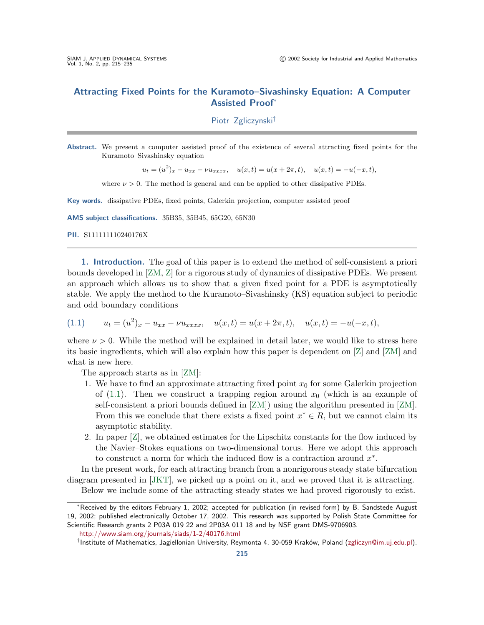## <span id="page-0-0"></span>**Attracting Fixed Points for the Kuramoto–Sivashinsky Equation: A Computer Assisted Proof**<sup>∗</sup>

Piotr Zgliczynski†

**Abstract.** We present a computer assisted proof of the existence of several attracting fixed points for the Kuramoto–Sivashinsky equation

 $u_t = (u^2)_x - u_{xx} - \nu u_{xxxx}, \quad u(x,t) = u(x+2\pi, t), \quad u(x,t) = -u(-x,t),$ 

where  $\nu > 0$ . The method is general and can be applied to other dissipative PDEs.

**Key words.** dissipative PDEs, fixed points, Galerkin projection, computer assisted proof

**AMS subject classifications.** 35B35, 35B45, 65G20, 65N30

**PII.** S111111110240176X

**1.Introduction.** The goal of this paper is to extend the method of self-consistent a priori bounds developed in [\[ZM,](#page-20-0) [Z\]](#page-20-0) for a rigorous study of dynamics of dissipative PDEs.We present an approach which allows us to show that a given fixed point for a PDE is asymptotically stable.We apply the method to the Kuramoto–Sivashinsky (KS) equation subject to periodic and odd boundary conditions

(1.1) 
$$
u_t = (u^2)_x - u_{xx} - \nu u_{xxxx}, \quad u(x,t) = u(x+2\pi,t), \quad u(x,t) = -u(-x,t),
$$

where  $\nu > 0$ . While the method will be explained in detail later, we would like to stress here its basic ingredients, which will also explain how this paper is dependent on [\[Z\]](#page-20-0) and [\[ZM\]](#page-20-0) and what is new here.

The approach starts as in [\[ZM\]](#page-20-0):

- 1. We have to find an approximate attracting fixed point  $x_0$  for some Galerkin projection of (1.1). Then we construct a trapping region around  $x_0$  (which is an example of self-consistent a priori bounds defined in [\[ZM\]](#page-20-0)) using the algorithm presented in [\[ZM\]](#page-20-0). From this we conclude that there exists a fixed point  $x^* \in R$ , but we cannot claim its asymptotic stability.
- 2.In paper [\[Z\]](#page-20-0), we obtained estimates for the Lipschitz constants for the flow induced by the Navier–Stokes equations on two-dimensional torus.Here we adopt this approach to construct a norm for which the induced flow is a contraction around  $x^*$ .

In the present work, for each attracting branch from a nonrigorous steady state bifurcation diagram presented in [\[JKT\]](#page-20-0), we picked up a point on it, and we proved that it is attracting.

Below we include some of the attracting steady states we had proved rigorously to exist.

†Institute of Mathematics, Jagiellonian University, Reymonta 4, 30-059 Krak´ow, Poland [\(zgliczyn@im.uj.edu.pl\)](mailto:zgliczyn@im.uj.edu.pl).

<sup>∗</sup>Received by the editors February 1, 2002; accepted for publication (in revised form) by B. Sandstede August 19, 2002; published electronically October 17, 2002. This research was supported by Polish State Committee for Scientific Research grants 2 P03A 019 22 and 2P03A 011 18 and by NSF grant DMS-9706903.

<http://www.siam.org/journals/siads/1-2/40176.html>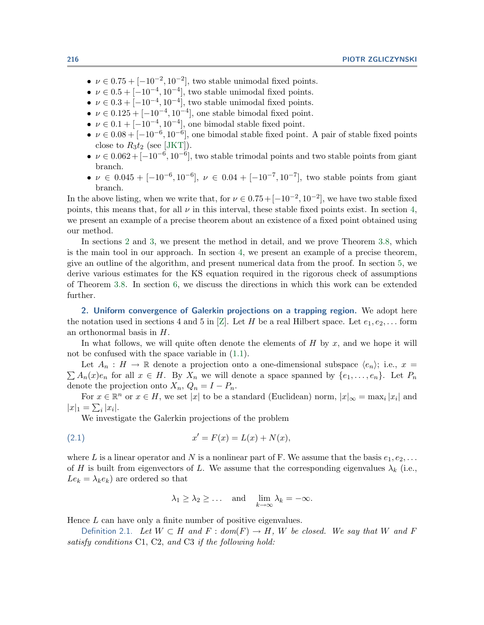- <span id="page-1-0"></span>•  $\nu \in 0.75 + [-10^{-2}, 10^{-2}]$ , two stable unimodal fixed points.
- $\nu \in 0.5 + [-10^{-4}, 10^{-4}]$ , two stable unimodal fixed points.
- $\nu \in 0.3 + [-10^{-4}, 10^{-4}]$ , two stable unimodal fixed points.
- $\nu \in 0.125 + [-10^{-4}, 10^{-4}]$ , one stable bimodal fixed point.
- $\nu \in 0.1 + [-10^{-4}, 10^{-4}]$ , one bimodal stable fixed point.
- $\nu \in 0.08 + [-10^{-6}, 10^{-6}]$ , one bimodal stable fixed point. A pair of stable fixed points close to  $R_3t_2$  (see [\[JKT\]](#page-20-0)).
- $\nu \in 0.062 + [-10^{-6}, 10^{-6}]$ , two stable trimodal points and two stable points from giant branch.
- $\nu \in 0.045 + [-10^{-6}, 10^{-6}], \nu \in 0.04 + [-10^{-7}, 10^{-7}],$  two stable points from giant branch.

In the above listing, when we write that, for  $\nu \in 0.75+[-10^{-2}, 10^{-2}]$ , we have two stable fixed points, this means that, for all  $\nu$  in this interval, these stable fixed points exist. In section [4,](#page-6-0) we present an example of a precise theorem about an existence of a fixed point obtained using our method.

In sections 2 and [3,](#page-3-0) we present the method in detail, and we prove Theorem [3.8,](#page-6-0) which is the main tool in our approach.In section [4,](#page-6-0) we present an example of a precise theorem, give an outline of the algorithm, and present numerical data from the proof.In section [5,](#page-13-0) we derive various estimates for the KS equation required in the rigorous check of assumptions of Theorem [3.8.](#page-6-0)In section [6,](#page-20-0) we discuss the directions in which this work can be extended further.

**2.Uniform convergence of Galerkin projections on a trapping region.** We adopt here the notation used in sections 4 and 5 in [\[Z\]](#page-20-0). Let H be a real Hilbert space. Let  $e_1, e_2, \ldots$  form an orthonormal basis in H.

In what follows, we will quite often denote the elements of  $H$  by  $x$ , and we hope it will not be confused with the space variable in [\(1.1\)](#page-0-0).

Let  $A_n : H \to \mathbb{R}$  denote a projection onto a one-dimensional subspace  $\langle e_n \rangle$ ; i.e.,  $x =$  $\sum A_n(x)e_n$  for all  $x \in H$ . By  $X_n$  we will denote a space spanned by  $\{e_1,\ldots,e_n\}$ . Let  $P_n$ denote the projection onto  $X_n$ ,  $Q_n = I - P_n$ .

For  $x \in \mathbb{R}^n$  or  $x \in H$ , we set |x| to be a standard (Euclidean) norm,  $|x|_{\infty} = \max_i |x_i|$  and  $|x|_1 = \sum_i |x_i|.$ 

We investigate the Galerkin projections of the problem

(2.1) 
$$
x' = F(x) = L(x) + N(x),
$$

where L is a linear operator and N is a nonlinear part of F. We assume that the basis  $e_1, e_2, \ldots$ of H is built from eigenvectors of L. We assume that the corresponding eigenvalues  $\lambda_k$  (i.e.,  $Le_k = \lambda_k e_k$ ) are ordered so that

$$
\lambda_1 \geq \lambda_2 \geq \ldots
$$
 and  $\lim_{k \to \infty} \lambda_k = -\infty$ .

Hence L can have only a finite number of positive eigenvalues.

Definition 2.1. Let  $W \subset H$  and  $F : dom(F) \to H$ , W be closed. We say that W and F satisfy conditions C1, C2, and C3 if the following hold: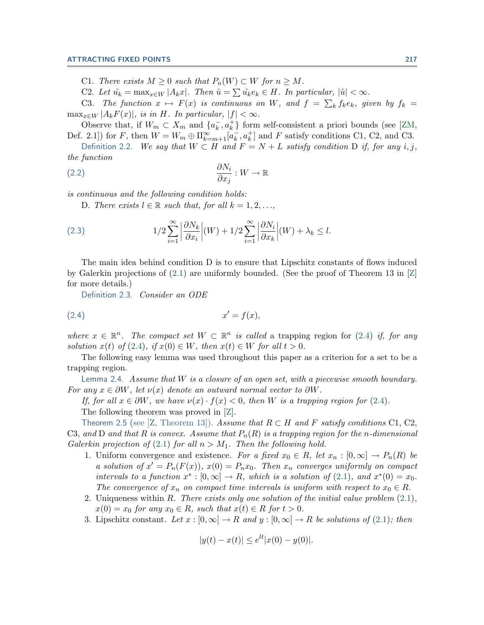<span id="page-2-0"></span>C1. There exists  $M \geq 0$  such that  $P_n(W) \subset W$  for  $n \geq M$ .

C2. Let  $\hat{u_k} = \max_{x \in W} |A_k x|$ . Then  $\hat{u} = \sum \hat{u_k} e_k \in H$ . In particular,  $|\hat{u}| < \infty$ .

C3. The function  $x \mapsto F(x)$  is continuous on W, and  $f = \sum_{k} f_k e_k$ , given by  $f_k =$  $\max_{x \in W} |A_k F(x)|$ , is in H. In particular,  $|f| < \infty$ .

Observe that, if  $W_m \subset X_m$  and  $\{a_k^-, a_k^+\}$  form self-consistent a priori bounds (see [\[ZM,](#page-20-0) Def. 2.1]) for F, then  $W = W_m \oplus \prod_{k=m+1}^{\infty} [a_k, a_k^+]$  and F satisfy conditions C1, C2, and C3.

Definition 2.2. We say that  $W \subset H$  and  $F = N + L$  satisfy condition D if, for any i, j, the function

$$
\frac{\partial N_i}{\partial x_j} : W \to \mathbb{R}
$$

is continuous and the following condition holds:

D. There exists  $l \in \mathbb{R}$  such that, for all  $k = 1, 2, \ldots$ ,

(2.3) 
$$
1/2 \sum_{i=1}^{\infty} \left| \frac{\partial N_k}{\partial x_i} \right| (W) + 1/2 \sum_{i=1}^{\infty} \left| \frac{\partial N_i}{\partial x_k} \right| (W) + \lambda_k \le l.
$$

The main idea behind condition D is to ensure that Lipschitz constants of flows induced by Galerkin projections of  $(2.1)$  are uniformly bounded. (See the proof of Theorem 13 in  $[Z]$ for more details.)

Definition 2.3. Consider an ODE

$$
(2.4) \t\t x' = f(x),
$$

where  $x \in \mathbb{R}^n$ . The compact set  $W \subset \mathbb{R}^n$  is called a trapping region for (2.4) if, for any solution  $x(t)$  of (2.4), if  $x(0) \in W$ , then  $x(t) \in W$  for all  $t > 0$ .

The following easy lemma was used throughout this paper as a criterion for a set to be a trapping region.

Lemma 2.4. Assume that  $W$  is a closure of an open set, with a piecewise smooth boundary. For any  $x \in \partial W$ , let  $\nu(x)$  denote an outward normal vector to  $\partial W$ .

If, for all  $x \in \partial W$ , we have  $\nu(x) \cdot f(x) < 0$ , then W is a trapping region for (2.4).

The following theorem was proved in [\[Z\]](#page-20-0).

Theorem 2.5 (see [\[Z,](#page-20-0) Theorem 13]). Assume that  $R \subset H$  and F satisfy conditions C1, C2, C3, and D and that R is convex. Assume that  $P_n(R)$  is a trapping region for the n-dimensional Galerkin projection of [\(2.1\)](#page-1-0) for all  $n>M_1$ . Then the following hold.

- 1. Uniform convergence and existence. For a fixed  $x_0 \in R$ , let  $x_n : [0, \infty] \to P_n(R)$  be a solution of  $x' = P_n(F(x))$ ,  $x(0) = P_n x_0$ . Then  $x_n$  converges uniformly on compact intervals to a function  $x^* : [0, \infty] \to R$ , which is a solution of [\(2.1\)](#page-1-0), and  $x^*(0) = x_0$ . The convergence of  $x_n$  on compact time intervals is uniform with respect to  $x_0 \in R$ .
- 2. Uniqueness within R. There exists only one solution of the initial value problem  $(2.1)$ ,  $x(0) = x_0$  for any  $x_0 \in R$ , such that  $x(t) \in R$  for  $t > 0$ .
- 3. Lipschitz constant. Let  $x : [0, \infty] \to R$  and  $y : [0, \infty] \to R$  be solutions of [\(2.1\)](#page-1-0); then

$$
|y(t) - x(t)| \le e^{lt} |x(0) - y(0)|.
$$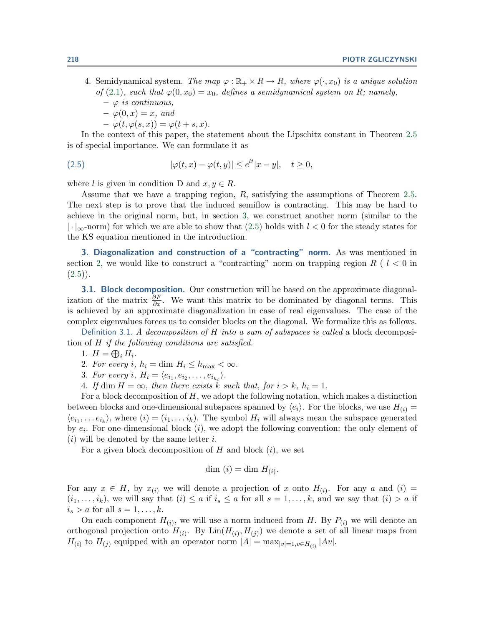- <span id="page-3-0"></span>4. Semidynamical system. The map  $\varphi : \mathbb{R}_+ \times R \to R$ , where  $\varphi(\cdot, x_0)$  is a unique solution of [\(2.1\)](#page-1-0), such that  $\varphi(0, x_0) = x_0$ , defines a semidynamical system on R; namely,
	- $\varphi$  *is continuous,*
	- $-\varphi(0,x)=x, \text{ and}$
	- $-\varphi(t,\varphi(s,x))=\varphi(t+s,x).$

In the context of this paper, the statement about the Lipschitz constant in Theorem [2.5](#page-2-0) is of special importance.We can formulate it as

(2.5) 
$$
|\varphi(t,x) - \varphi(t,y)| \le e^{lt}|x - y|, \quad t \ge 0,
$$

where l is given in condition D and  $x, y \in R$ .

Assume that we have a trapping region, R, satisfying the assumptions of Theorem [2.5.](#page-2-0) The next step is to prove that the induced semiflow is contracting. This may be hard to achieve in the original norm, but, in section 3, we construct another norm (similar to the  $\lvert \cdot \rvert_{\infty}$ -norm) for which we are able to show that (2.5) holds with  $l < 0$  for the steady states for the KS equation mentioned in the introduction.

**3.Diagonalization and construction of a "contracting" norm.** As was mentioned in section [2,](#page-1-0) we would like to construct a "contracting" norm on trapping region  $R$  (  $l < 0$  in  $(2.5)$ .

**3.1. Block decomposition.** Our construction will be based on the approximate diagonalization of the matrix  $\frac{\partial F}{\partial x}$ . We want this matrix to be dominated by diagonal terms. This is achieved by an approximate diagonalization in case of real eigenvalues.The case of the complex eigenvalues forces us to consider blocks on the diagonal.We formalize this as follows.

Definition 3.1. A decomposition of H into a sum of subspaces is called a block decomposition of H if the following conditions are satisfied.

- 1.  $H = \bigoplus_i H_i$ .
- 2. For every i,  $h_i = \dim H_i \le h_{\max} < \infty$ .
- 3. For every i,  $H_i = \langle e_{i_1}, e_{i_2}, \ldots, e_{i_{h_i}} \rangle$ .
- 4. If dim  $H = \infty$ , then there exists k such that, for  $i > k$ ,  $h_i = 1$ .

For a block decomposition of  $H$ , we adopt the following notation, which makes a distinction between blocks and one-dimensional subspaces spanned by  $\langle e_i \rangle$ . For the blocks, we use  $H_{(i)} =$  $\langle e_{i_1},\ldots e_{i_k}\rangle$ , where  $(i)=(i_1,\ldots i_k)$ . The symbol  $H_i$  will always mean the subspace generated by  $e_i$ . For one-dimensional block  $(i)$ , we adopt the following convention: the only element of  $(i)$  will be denoted by the same letter i.

For a given block decomposition of  $H$  and block  $(i)$ , we set

$$
\dim(i) = \dim H_{(i)}.
$$

For any  $x \in H$ , by  $x_{(i)}$  we will denote a projection of x onto  $H_{(i)}$ . For any a and  $(i)$  $(i_1,\ldots,i_k)$ , we will say that  $(i) \leq a$  if  $i_s \leq a$  for all  $s = 1,\ldots,k$ , and we say that  $(i) > a$  if  $i_s > a$  for all  $s = 1, \ldots, k$ .

On each component  $H_{(i)}$ , we will use a norm induced from H. By  $P_{(i)}$  we will denote an orthogonal projection onto  $H_{(i)}$ . By  $\text{Lin}(H_{(i)}, H_{(j)})$  we denote a set of all linear maps from  $H_{(i)}$  to  $H_{(j)}$  equipped with an operator norm  $|A| = \max_{|v|=1, v \in H_{(i)}} |Av|$ .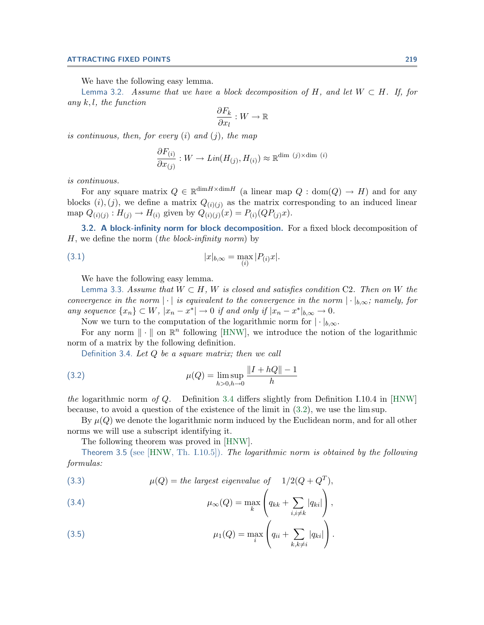We have the following easy lemma.

<span id="page-4-0"></span>Lemma 3.2. Assume that we have a block decomposition of H, and let  $W \subset H$ . If, for any  $k, l$ , the function

$$
\frac{\partial F_k}{\partial x_l}: W \to \mathbb{R}
$$

is continuous, then, for every  $(i)$  and  $(j)$ , the map

$$
\frac{\partial F_{(i)}}{\partial x_{(j)}}: W \to Lin(H_{(j)}, H_{(i)}) \approx \mathbb{R}^{\dim (j) \times \dim (i)}
$$

is continuous.

For any square matrix  $Q \in \mathbb{R}^{\dim H \times \dim H}$  (a linear map  $Q : \text{dom}(Q) \to H$ ) and for any blocks  $(i), (j)$ , we define a matrix  $Q_{(i)(j)}$  as the matrix corresponding to an induced linear map  $Q_{(i)(j)}$ :  $H_{(j)} \to H_{(i)}$  given by  $Q_{(i)(j)}(x) = P_{(i)}(QP_{(j)}x)$ .

**3.2. A block-infinity norm for block decomposition.** For a fixed block decomposition of  $H$ , we define the norm (the block-infinity norm) by

(3.1) 
$$
|x|_{b,\infty} = \max_{(i)} |P_{(i)}x|.
$$

We have the following easy lemma.

Lemma 3.3. Assume that  $W \subset H$ , W is closed and satisfies condition C2. Then on W the convergence in the norm  $|\cdot|$  is equivalent to the convergence in the norm  $|\cdot|_{b,\infty}$ ; namely, for any sequence  $\{x_n\} \subset W$ ,  $|x_n - x^*| \to 0$  if and only if  $|x_n - x^*|_{b,\infty} \to 0$ .

Now we turn to the computation of the logarithmic norm for  $|\cdot|_{b,\infty}$ .

For any norm  $\|\cdot\|$  on  $\mathbb{R}^n$  following [\[HNW\]](#page-20-0), we introduce the notion of the logarithmic norm of a matrix by the following definition.

Definition 3.4. Let  $Q$  be a square matrix; then we call

(3.2) 
$$
\mu(Q) = \limsup_{h>0, h\to 0} \frac{\|I + hQ\| - 1}{h}
$$

the logarithmic norm of Q. Definition 3.4 differs slightly from Definition I.10.4 in [\[HNW\]](#page-20-0) because, to avoid a question of the existence of the limit in (3.2), we use the lim sup.

By  $\mu(Q)$  we denote the logarithmic norm induced by the Euclidean norm, and for all other norms we will use a subscript identifying it.

The following theorem was proved in [\[HNW\]](#page-20-0).

Theorem 3.5 (see  $[HNW, Th. I.10.5]$  $[HNW, Th. I.10.5]$ ). The logarithmic norm is obtained by the following formulas:

(3.3) 
$$
\mu(Q) = \text{the largest eigenvalue of } 1/2(Q + Q^T),
$$

(3.4) 
$$
\mu_{\infty}(Q) = \max_{k} \left( q_{kk} + \sum_{i,i \neq k} |q_{ki}| \right),
$$

(3.5) 
$$
\mu_1(Q) = \max_i \left( q_{ii} + \sum_{k,k \neq i} |q_{ki}| \right).
$$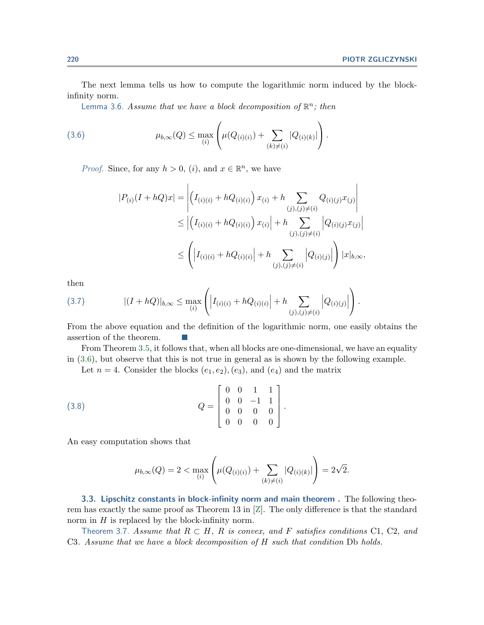<span id="page-5-0"></span>The next lemma tells us how to compute the logarithmic norm induced by the blockinfinity norm.

Lemma 3.6. Assume that we have a block decomposition of  $\mathbb{R}^n$ ; then

(3.6) 
$$
\mu_{b,\infty}(Q) \leq \max_{(i)} \left( \mu(Q_{(i)(i)}) + \sum_{(k) \neq (i)} |Q_{(i)(k)}| \right).
$$

*Proof.* Since, for any  $h > 0$ , (i), and  $x \in \mathbb{R}^n$ , we have

$$
|P_{(i)}(I+hQ)x| = \left| \left(I_{(i)(i)} + hQ_{(i)(i)}\right)x_{(i)} + h \sum_{(j),(j)\neq(i)} Q_{(i)(j)}x_{(j)} \right|
$$
  
\n
$$
\leq \left| \left(I_{(i)(i)} + hQ_{(i)(i)}\right)x_{(i)} \right| + h \sum_{(j),(j)\neq(i)} \left| Q_{(i)(j)}x_{(j)} \right|
$$
  
\n
$$
\leq \left( \left| I_{(i)(i)} + hQ_{(i)(i)} \right| + h \sum_{(j),(j)\neq(i)} \left| Q_{(i)(j)} \right| \right) |x|_{b,\infty},
$$

then

$$
(3.7) \qquad |(I+hQ)|_{b,\infty} \leq \max_{(i)} \left( \left| I_{(i)(i)} + hQ_{(i)(i)} \right| + h \sum_{(j),(j)\neq(i)} \left| Q_{(i)(j)} \right| \right).
$$

From the above equation and the definition of the logarithmic norm, one easily obtains the assertion of the theorem.

From Theorem [3.5,](#page-4-0) it follows that, when all blocks are one-dimensional, we have an equality in (3.6), but observe that this is not true in general as is shown by the following example.

Let  $n = 4$ . Consider the blocks  $(e_1, e_2), (e_3)$ , and  $(e_4)$  and the matrix

$$
(3.8) \tQ = \begin{bmatrix} 0 & 0 & 1 & 1 \\ 0 & 0 & -1 & 1 \\ 0 & 0 & 0 & 0 \\ 0 & 0 & 0 & 0 \end{bmatrix}.
$$

An easy computation shows that

$$
\mu_{b,\infty}(Q) = 2 < \max_{(i)} \left( \mu(Q_{(i)(i)}) + \sum_{(k) \neq (i)} |Q_{(i)(k)}| \right) = 2\sqrt{2}.
$$

**3.3. Lipschitz constants in block-infinity norm and main theorem .** The following theorem has exactly the same proof as Theorem 13 in  $[Z]$ . The only difference is that the standard norm in  $H$  is replaced by the block-infinity norm.

Theorem 3.7. Assume that  $R \subset H$ , R is convex, and F satisfies conditions C1, C2, and C3. Assume that we have a block decomposition of H such that condition Db holds.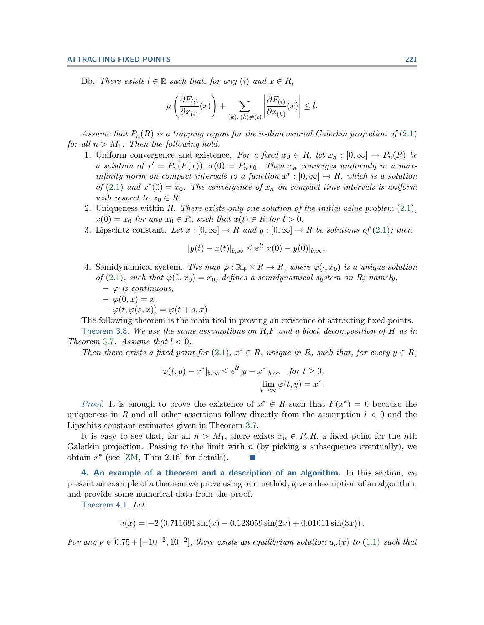<span id="page-6-0"></span>Db. There exists  $l \in \mathbb{R}$  such that, for any (i) and  $x \in R$ ,

$$
\mu\left(\frac{\partial F_{(i)}}{\partial x_{(i)}}(x)\right) + \sum_{(k), (k) \neq (i)} \left|\frac{\partial F_{(i)}}{\partial x_{(k)}}(x)\right| \leq l.
$$

Assume that  $P_n(R)$  is a trapping region for the n-dimensional Galerkin projection of [\(2.1\)](#page-1-0) for all  $n>M_1$ . Then the following hold.

- 1. Uniform convergence and existence. For a fixed  $x_0 \in R$ , let  $x_n : [0, \infty] \to P_n(R)$  be a solution of  $x' = P_n(F(x))$ ,  $x(0) = P_n x_0$ . Then  $x_n$  converges uniformly in a maxinfinity norm on compact intervals to a function  $x^* : [0, \infty] \to R$ , which is a solution of [\(2.1\)](#page-1-0) and  $x*(0) = x_0$ . The convergence of  $x_n$  on compact time intervals is uniform with respect to  $x_0 \in R$ .
- 2. Uniqueness within R. There exists only one solution of the initial value problem  $(2.1)$ ,  $x(0) = x_0$  for any  $x_0 \in R$ , such that  $x(t) \in R$  for  $t > 0$ .
- 3. Lipschitz constant. Let  $x : [0, \infty] \to R$  and  $y : [0, \infty] \to R$  be solutions of [\(2.1\)](#page-1-0); then

$$
|y(t) - x(t)|_{b,\infty} \le e^{lt} |x(0) - y(0)|_{b,\infty}.
$$

- 4. Semidynamical system. The map  $\varphi : \mathbb{R}_+ \times R \to R$ , where  $\varphi(\cdot, x_0)$  is a unique solution of [\(2.1\)](#page-1-0), such that  $\varphi(0, x_0) = x_0$ , defines a semidynamical system on R; namely,
	- $\varphi$  *is continuous,*
	- $-\varphi(0,x)=x,$
	- $-\varphi(t,\varphi(s,x))=\varphi(t+s,x).$

The following theorem is the main tool in proving an existence of attracting fixed points.

Theorem 3.8. We use the same assumptions on  $R,F$  and a block decomposition of H as in Theorem [3.7](#page-5-0). Assume that  $l < 0$ .

Then there exists a fixed point for [\(2.1\)](#page-1-0),  $x^* \in R$ , unique in R, such that, for every  $y \in R$ ,

$$
|\varphi(t,y) - x^*|_{b,\infty} \le e^{lt} |y - x^*|_{b,\infty} \quad \text{for } t \ge 0,
$$
  

$$
\lim_{t \to \infty} \varphi(t,y) = x^*.
$$

*Proof.* It is enough to prove the existence of  $x^* \in R$  such that  $F(x^*) = 0$  because the uniqueness in R and all other assertions follow directly from the assumption  $l < 0$  and the Lipschitz constant estimates given in Theorem [3.7.](#page-5-0)

It is easy to see that, for all  $n>M_1$ , there exists  $x_n \in P_nR$ , a fixed point for the nth Galerkin projection. Passing to the limit with  $n$  (by picking a subsequence eventually), we obtain  $x^*$  (see [\[ZM,](#page-20-0) Thm 2.16] for details).

**4.An example of a theorem and a description of an algorithm.** In this section, we present an example of a theorem we prove using our method, give a description of an algorithm, and provide some numerical data from the proof.

Theorem 4.1. Let

 $u(x) = -2(0.711691\sin(x) - 0.123059\sin(2x) + 0.01011\sin(3x))$ .

For any  $\nu \in 0.75 + [-10^{-2}, 10^{-2}]$ , there exists an equilibrium solution  $u_{\nu}(x)$  to [\(1.1\)](#page-0-0) such that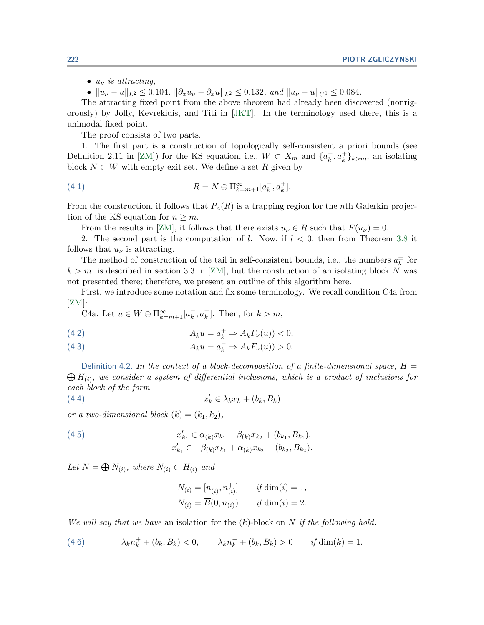<span id="page-7-0"></span>•  $u_{\nu}$  is attracting,

•  $||u_{\nu} - u||_{L^2} \le 0.104$ ,  $||\partial_x u_{\nu} - \partial_x u||_{L^2} \le 0.132$ , and  $||u_{\nu} - u||_{C^0} \le 0.084$ .

The attracting fixed point from the above theorem had already been discovered (nonrigorously) by Jolly, Kevrekidis, and Titi in [\[JKT\]](#page-20-0).In the terminology used there, this is a unimodal fixed point.

The proof consists of two parts.

1.The first part is a construction of topologically self-consistent a priori bounds (see Definition 2.11 in [\[ZM\]](#page-20-0)) for the KS equation, i.e.,  $W \subset X_m$  and  $\{a_k, a_k^+\}_{k>m}$ , an isolating block  $N \subset W$  with empty exit set. We define a set R given by

(4.1) 
$$
R = N \oplus \Pi_{k=m+1}^{\infty} [a_k^-, a_k^+].
$$

From the construction, it follows that  $P_n(R)$  is a trapping region for the *n*th Galerkin projection of the KS equation for  $n \geq m$ .

From the results in [\[ZM\]](#page-20-0), it follows that there exists  $u<sub>\nu</sub> \in R$  such that  $F(u<sub>\nu</sub>) = 0$ .

2. The second part is the computation of l. Now, if  $l < 0$ , then from Theorem [3.8](#page-6-0) it follows that  $u_{\nu}$  is attracting.

The method of construction of the tail in self-consistent bounds, i.e., the numbers  $a_k^{\pm}$  for  $k>m$ , is described in section 3.3 in [\[ZM\]](#page-20-0), but the construction of an isolating block N was not presented there; therefore, we present an outline of this algorithm here.

First, we introduce some notation and fix some terminology.We recall condition C4a from  $[ZM]$ :

C4a. Let  $u \in W \oplus \Pi_{k=m+1}^{\infty} [a_k^-, a_k^+]$ . Then, for  $k > m$ ,

(4.2) 
$$
A_k u = a_k^+ \Rightarrow A_k F_\nu(u) < 0,
$$

(4.3) 
$$
A_k u = a_k^- \Rightarrow A_k F_\nu(u) > 0.
$$

Definition 4.2. In the context of a block-decomposition of a finite-dimensional space,  $H =$  $\bigoplus H_{(i)}$ , we consider a system of differential inclusions, which is a product of inclusions for each block of the form

$$
(4.4) \t x'_k \in \lambda_k x_k + (b_k, B_k)
$$

or a two-dimensional block  $(k)=(k_1, k_2)$ ,

(4.5) 
$$
x'_{k_1} \in \alpha_{(k)} x_{k_1} - \beta_{(k)} x_{k_2} + (b_{k_1}, B_{k_1}),
$$

$$
x'_{k_1} \in -\beta_{(k)} x_{k_1} + \alpha_{(k)} x_{k_2} + (b_{k_2}, B_{k_2}).
$$

Let  $N = \bigoplus N_{(i)}$ , where  $N_{(i)} \subset H_{(i)}$  and

$$
N_{(i)} = [n_{(i)}^-, n_{(i)}^+] \t\t if \dim(i) = 1,N_{(i)} = \overline{B}(0, n_{(i)}) \t\t if \dim(i) = 2.
$$

We will say that we have an isolation for the  $(k)$ -block on N if the following hold:

(4.6) 
$$
\lambda_k n_k^+ + (b_k, B_k) < 0, \qquad \lambda_k n_k^- + (b_k, B_k) > 0 \qquad \text{if } \dim(k) = 1.
$$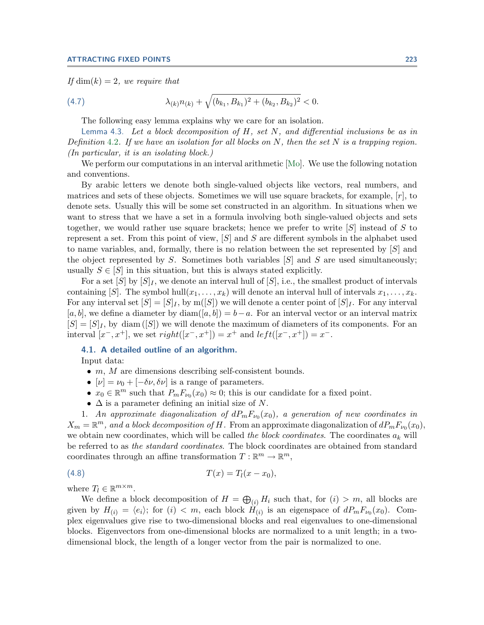<span id="page-8-0"></span>If  $\dim(k)=2$ , we require that

(4.7) 
$$
\lambda_{(k)} n_{(k)} + \sqrt{(b_{k_1}, B_{k_1})^2 + (b_{k_2}, B_{k_2})^2} < 0.
$$

The following easy lemma explains why we care for an isolation.

Lemma 4.3. Let a block decomposition of  $H$ , set  $N$ , and differential inclusions be as in Definition [4.2](#page-7-0). If we have an isolation for all blocks on  $N$ , then the set  $N$  is a trapping region. (In particular, it is an isolating block.)

We perform our computations in an interval arithmetic  $\text{[Mo]}$  $\text{[Mo]}$  $\text{[Mo]}$ . We use the following notation and conventions.

By arabic letters we denote both single-valued objects like vectors, real numbers, and matrices and sets of these objects. Sometimes we will use square brackets, for example,  $[r]$ , to denote sets. Usually this will be some set constructed in an algorithm. In situations when we want to stress that we have a set in a formula involving both single-valued objects and sets together, we would rather use square brackets; hence we prefer to write  $[S]$  instead of S to represent a set. From this point of view,  $[S]$  and S are different symbols in the alphabet used to name variables, and, formally, there is no relation between the set represented by  $[S]$  and the object represented by S. Sometimes both variables  $[S]$  and S are used simultaneously; usually  $S \in [S]$  in this situation, but this is always stated explicitly.

For a set  $[S]$  by  $[S]_I$ , we denote an interval hull of  $[S]$ , i.e., the smallest product of intervals containing [S]. The symbol hull $(x_1,\ldots,x_k)$  will denote an interval hull of intervals  $x_1,\ldots,x_k$ . For any interval set  $[S]=[S]_I$ , by m( $[S]$ ) we will denote a center point of  $[S]_I$ . For any interval  $[a, b]$ , we define a diameter by diam( $[a, b]$ ) = b – a. For an interval vector or an interval matrix  $[S]=[S]_I$ , by diam  $([S])$  we will denote the maximum of diameters of its components. For an interval  $[x^-, x^+]$ , we set  $right([x^-, x^+]) = x^+$  and  $left([x^-, x^+]) = x^-$ .

## **4.1. A detailed outline of an algorithm.**

Input data:

- $\bullet$  m, M are dimensions describing self-consistent bounds.
- $[\nu] = \nu_0 + [-\delta \nu, \delta \nu]$  is a range of parameters.
- $x_0 \in \mathbb{R}^m$  such that  $P_m F_{\nu_0}(x_0) \approx 0$ ; this is our candidate for a fixed point.
- $\Delta$  is a parameter defining an initial size of N.

1. An approximate diagonalization of  $dP_mF_{\nu_0}(x_0)$ , a generation of new coordinates in  $X_m = \mathbb{R}^m$ , and a block decomposition of H. From an approximate diagonalization of  $dP_mF_{\nu_0}(x_0)$ , we obtain new coordinates, which will be called the block coordinates. The coordinates  $a_k$  will be referred to as the standard coordinates.The block coordinates are obtained from standard coordinates through an affine transformation  $T : \mathbb{R}^m \to \mathbb{R}^m$ ,

(4.8) 
$$
T(x) = T_l(x - x_0),
$$

where  $T_l \in \mathbb{R}^{m \times m}$ .

We define a block decomposition of  $H = \bigoplus_{(i)} H_i$  such that, for  $(i) > m$ , all blocks are given by  $H_{(i)} = \langle e_i \rangle$ ; for  $(i) < m$ , each block  $H_{(i)}$  is an eigenspace of  $dP_mF_{\nu_0}(x_0)$ . Complex eigenvalues give rise to two-dimensional blocks and real eigenvalues to one-dimensional blocks.Eigenvectors from one-dimensional blocks are normalized to a unit length; in a twodimensional block, the length of a longer vector from the pair is normalized to one.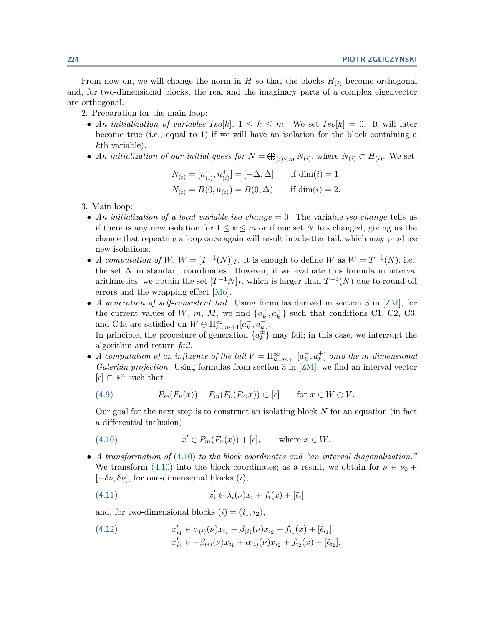<span id="page-9-0"></span>From now on, we will change the norm in H so that the blocks  $H_{(i)}$  become orthogonal and, for two-dimensional blocks, the real and the imaginary parts of a complex eigenvector are orthogonal.

- 2.Preparation for the main loop:
	- An initialization of variables Iso[k],  $1 \leq k \leq m$ . We set Iso[k] = 0. It will later become true (i.e., equal to 1) if we will have an isolation for the block containing a kth variable).
	- An initialization of our initial guess for  $N = \bigoplus_{(i) \le m} N_{(i)}$ , where  $N_{(i)} \subset H_{(i)}$ . We set

$$
N_{(i)} = [n_{(i)}^-, n_{(i)}^+] = [-\Delta, \Delta] \quad \text{if } \dim(i) = 1,
$$
  

$$
N_{(i)} = \overline{B}(0, n_{(i)}) = \overline{B}(0, \Delta) \quad \text{if } \dim(i) = 2.
$$

- 3.Main loop:
	- An initialization of a local variable iso-change  $= 0$ . The variable iso-change tells us if there is any new isolation for  $1 \leq k \leq m$  or if our set N has changed, giving us the chance that repeating a loop once again will result in a better tail, which may produce new isolations.
	- A computation of W.  $W = [T^{-1}(N)]_I$ . It is enough to define W as  $W = T^{-1}(N)$ , i.e., the set  $N$  in standard coordinates. However, if we evaluate this formula in interval arithmetics, we obtain the set  $[T^{-1}N]_I$ , which is larger than  $T^{-1}(N)$  due to round-off errors and the wrapping effect [\[Mo\]](#page-20-0).
	- A generation of self-consistent tail. Using formulas derived in section 3 in  $[ZM]$ , for the current values of W, m, M, we find  $\{a_k^-, a_k^+\}$  such that conditions C1, C2, C3, and C4a are satisfied on  $W \oplus \Pi_{k=m+1}^{\infty} [a_k^-, a_k^+]$ . In principle, the procedure of generation  $\{a_k^{\pm}\}\$  may fail; in this case, we interrupt the

algorithm and return fail. • A computation of an influence of the tail  $V = \prod_{k=m+1}^{\infty} [a_k^-, a_k^+]$  onto the m-dimensional

Galerkin projection. Using formulas from section 3 in [\[ZM\]](#page-20-0), we find an interval vector  $[\epsilon] \subset \mathbb{R}^n$  such that

(4.9) 
$$
P_m(F_{\nu}(x)) - P_m(F_{\nu}(P_m x)) \subset [\epsilon] \quad \text{for } x \in W \oplus V.
$$

Our goal for the next step is to construct an isolating block  $N$  for an equation (in fact a differential inclusion)

(4.10) 
$$
x' \in P_m(F_{\nu}(x)) + [\epsilon], \quad \text{where } x \in W.
$$

• A transformation of  $(4.10)$  to the block coordinates and "an interval diagonalization." We transform (4.10) into the block coordinates; as a result, we obtain for  $\nu \in \nu_0 +$  $[-\delta \nu, \delta \nu]$ , for one-dimensional blocks  $(i)$ ,

(4.11) 
$$
x'_{i} \in \lambda_{i}(\nu)x_{i} + f_{i}(x) + [\tilde{\epsilon}_{i}]
$$

and, for two-dimensional blocks  $(i)=(i_1, i_2),$ 

(4.12) 
$$
x'_{i_1} \in \alpha_{(i)}(\nu)x_{i_1} + \beta_{(i)}(\nu)x_{i_2} + f_{i_1}(x) + [\tilde{\epsilon}_{i_1}],
$$

$$
x'_{i_2} \in -\beta_{(i)}(\nu)x_{i_1} + \alpha_{(i)}(\nu)x_{i_2} + f_{i_2}(x) + [\tilde{\epsilon}_{i_2}].
$$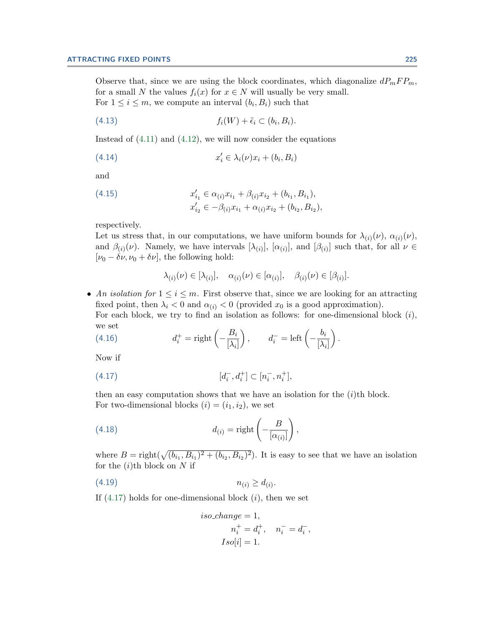<span id="page-10-0"></span>Observe that, since we are using the block coordinates, which diagonalize  $dP_mFP_m$ , for a small N the values  $f_i(x)$  for  $x \in N$  will usually be very small. For  $1 \leq i \leq m$ , we compute an interval  $(b_i, B_i)$  such that

$$
(4.13) \t f_i(W) + \tilde{\epsilon}_i \subset (b_i, B_i).
$$

Instead of [\(4.11\)](#page-9-0) and [\(4.12\)](#page-9-0), we will now consider the equations

$$
(4.14) \t\t x_i' \in \lambda_i(\nu)x_i + (b_i, B_i)
$$

and

(4.15) 
$$
x'_{i_1} \in \alpha_{(i)} x_{i_1} + \beta_{(i)} x_{i_2} + (b_{i_1}, B_{i_1}),
$$

$$
x'_{i_2} \in -\beta_{(i)} x_{i_1} + \alpha_{(i)} x_{i_2} + (b_{i_2}, B_{i_2}),
$$

respectively.

Let us stress that, in our computations, we have uniform bounds for  $\lambda_{(i)}(\nu)$ ,  $\alpha_{(i)}(\nu)$ , and  $\beta_{(i)}(\nu)$ . Namely, we have intervals  $[\lambda_{(i)}]$ ,  $[\alpha_{(i)}]$ , and  $[\beta_{(i)}]$  such that, for all  $\nu \in$  $[\nu_0 - \delta \nu, \nu_0 + \delta \nu]$ , the following hold:

$$
\lambda_{(i)}(\nu) \in [\lambda_{(i)}], \quad \alpha_{(i)}(\nu) \in [\alpha_{(i)}], \quad \beta_{(i)}(\nu) \in [\beta_{(i)}].
$$

• An isolation for  $1 \leq i \leq m$ . First observe that, since we are looking for an attracting fixed point, then  $\lambda_i < 0$  and  $\alpha_{(i)} < 0$  (provided  $x_0$  is a good approximation). For each block, we try to find an isolation as follows: for one-dimensional block  $(i)$ , we set

(4.16) 
$$
d_i^+ = \text{right}\left(-\frac{B_i}{[\lambda_i]}\right), \qquad d_i^- = \text{left}\left(-\frac{b_i}{[\lambda_i]}\right).
$$

Now if

$$
(4.17) \t\t [d_i^-, d_i^+] \subset [n_i^-, n_i^+],
$$

then an easy computation shows that we have an isolation for the  $(i)$ <sup>th</sup> block. For two-dimensional blocks  $(i)=(i_1, i_2)$ , we set

(4.18) 
$$
d_{(i)} = \text{right}\left(-\frac{B}{[\alpha_{(i)}]}\right),
$$

where  $B = \text{right}(\sqrt{(b_{i_1}, B_{i_1})^2 + (b_{i_2}, B_{i_2})^2})$ . It is easy to see that we have an isolation for the  $(i)$ <sup>th</sup> block on N if

$$
(4.19) \t\t\t n_{(i)} \geq d_{(i)}.
$$

If  $(4.17)$  holds for one-dimensional block  $(i)$ , then we set

$$
iso\_change = 1,
$$
  
\n
$$
n_i^+ = d_i^+, \quad n_i^- = d_i^-,
$$
  
\n
$$
Iso[i] = 1.
$$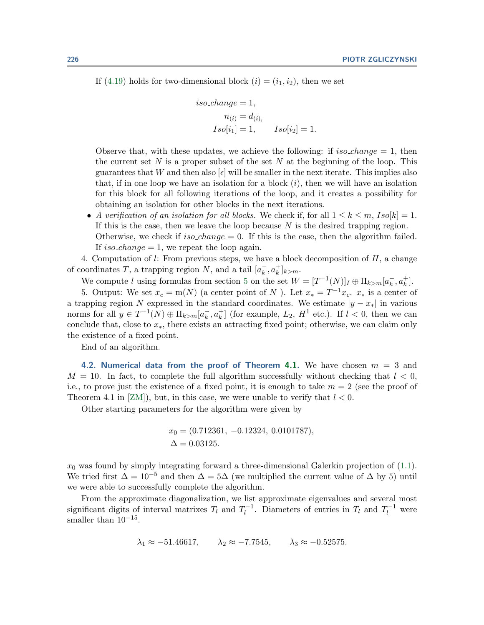If [\(4.19\)](#page-10-0) holds for two-dimensional block  $(i)=(i_1, i_2)$ , then we set

$$
iso\_change = 1,
$$
  
\n
$$
n_{(i)} = d_{(i)},
$$
  
\n
$$
Iso[i_1] = 1, \qquad Iso[i_2] = 1.
$$

Observe that, with these updates, we achieve the following: if  $iso-change = 1$ , then the current set N is a proper subset of the set N at the beginning of the loop. This guarantees that W and then also  $[\epsilon]$  will be smaller in the next iterate. This implies also that, if in one loop we have an isolation for a block  $(i)$ , then we will have an isolation for this block for all following iterations of the loop, and it creates a possibility for obtaining an isolation for other blocks in the next iterations.

• A verification of an isolation for all blocks. We check if, for all  $1 \leq k \leq m$ ,  $Iso[k] = 1$ . If this is the case, then we leave the loop because  $N$  is the desired trapping region. Otherwise, we check if iso\_change = 0. If this is the case, then the algorithm failed. If iso\_change  $= 1$ , we repeat the loop again.

4.Computation of l: From previous steps, we have a block decomposition of H, a change of coordinates T, a trapping region N, and a tail  $[a_k^-, a_k^+]_{k>m}$ .

We compute l using formulas from section [5](#page-13-0) on the set  $W = [T^{-1}(N)]_I \oplus \Pi_{k>m}[a_k^-, a_k^+]$ .

5. Output: We set  $x_c = m(N)$  (a center point of N). Let  $x_* = T^{-1}x_c$ .  $x_*$  is a center of a trapping region N expressed in the standard coordinates. We estimate  $|y - x_*|$  in various norms for all  $y \in T^{-1}(N) \oplus \Pi_{k>m}[a_k^-, a_k^+]$  (for example,  $L_2$ ,  $H^1$  etc.). If  $l < 0$ , then we can conclude that, close to  $x_{*}$ , there exists an attracting fixed point; otherwise, we can claim only the existence of a fixed point.

End of an algorithm.

**4.2. Numerical data from the proof of Theorem [4.1.](#page-6-0)** We have chosen m = 3 and  $M = 10$ . In fact, to complete the full algorithm successfully without checking that  $l < 0$ , i.e., to prove just the existence of a fixed point, it is enough to take  $m = 2$  (see the proof of Theorem 4.1 in  $[ZM]$ , but, in this case, we were unable to verify that  $l < 0$ .

Other starting parameters for the algorithm were given by

$$
x_0 = (0.712361, -0.12324, 0.0101787),
$$
  

$$
\Delta = 0.03125.
$$

 $x_0$  was found by simply integrating forward a three-dimensional Galerkin projection of  $(1.1)$ . We tried first  $\Delta = 10^{-5}$  and then  $\Delta = 5\Delta$  (we multiplied the current value of  $\Delta$  by 5) until we were able to successfully complete the algorithm.

From the approximate diagonalization, we list approximate eigenvalues and several most significant digits of interval matrixes  $T_l$  and  $T_l^{-1}$ . Diameters of entries in  $T_l$  and  $T_l^{-1}$  were smaller than  $10^{-15}$ .

$$
\lambda_1 \approx -51.46617, \qquad \lambda_2 \approx -7.7545, \qquad \lambda_3 \approx -0.52575.
$$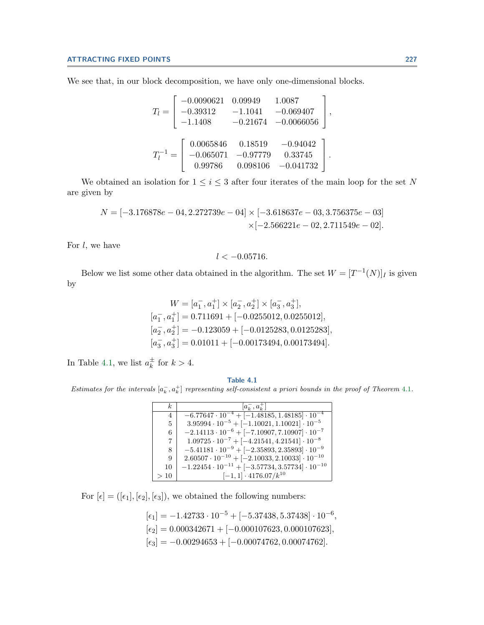We see that, in our block decomposition, we have only one-dimensional blocks.

$$
T_{l} = \begin{bmatrix} -0.0090621 & 0.09949 & 1.0087 \\ -0.39312 & -1.1041 & -0.069407 \\ -1.1408 & -0.21674 & -0.0066056 \end{bmatrix},
$$

$$
T_{l}^{-1} = \begin{bmatrix} 0.0065846 & 0.18519 & -0.94042 \\ -0.065071 & -0.97779 & 0.33745 \\ 0.99786 & 0.098106 & -0.041732 \end{bmatrix}.
$$

We obtained an isolation for  $1\leq i\leq 3$  after four iterates of the main loop for the set  $N$ are given by

$$
N = [-3.176878e - 04, 2.272739e - 04] \times [-3.618637e - 03, 3.756375e - 03] \times [-2.566221e - 02, 2.711549e - 02].
$$

For  $l$ , we have

$$
l < -0.05716.
$$

Below we list some other data obtained in the algorithm. The set  $W = [T^{-1}(N)]_I$  is given by

$$
W = [a_1^-, a_1^+] \times [a_2^-, a_2^+] \times [a_3^-, a_3^+],
$$
  
\n
$$
[a_1^-, a_1^+] = 0.711691 + [-0.0255012, 0.0255012],
$$
  
\n
$$
[a_2^-, a_2^+] = -0.123059 + [-0.0125283, 0.0125283],
$$
  
\n
$$
[a_3^-, a_3^+] = 0.01011 + [-0.00173494, 0.00173494].
$$

In Table 4.1, we list  $a_k^{\pm}$  for  $k > 4$ .

**Table 4.1** Estimates for the intervals  $[a_k^-, a_k^+]$  representing self-consistent a priori bounds in the proof of Theorem [4.1](#page-6-0).

| k.             | $ a_k^-, a_k^+ $                                               |
|----------------|----------------------------------------------------------------|
| 4              | $-6.77647 \cdot 10^{-4} + [-1.48185, 1.48185] \cdot 10^{-4}$   |
| $\mathbf{5}$   | $3.95994 \cdot 10^{-5} + [-1.10021, 1.10021] \cdot 10^{-5}$    |
| 6              | $-2.14113 \cdot 10^{-6} + [-7.10907, 7.10907] \cdot 10^{-7}$   |
| $\overline{7}$ | $1.09725 \cdot 10^{-7} + [-4.21541, 4.21541] \cdot 10^{-8}$    |
| 8              | $-5.41181 \cdot 10^{-9} + [-2.35893, 2.35893] \cdot 10^{-9}$   |
| 9              | $2.60507 \cdot 10^{-10} + [-2.10033, 2.10033] \cdot 10^{-10}$  |
| 10             | $-1.22454 \cdot 10^{-11} + [-3.57734, 3.57734] \cdot 10^{-10}$ |
| >10            | $[-1, 1] \cdot 4176.07/k^{10}$                                 |

For  $[\epsilon] = ([\epsilon_1], [\epsilon_2], [\epsilon_3]) ,$  we obtained the following numbers:

$$
[\epsilon_1] = -1.42733 \cdot 10^{-5} + [-5.37438, 5.37438] \cdot 10^{-6},
$$
  
\n
$$
[\epsilon_2] = 0.000342671 + [-0.000107623, 0.000107623],
$$
  
\n
$$
[\epsilon_3] = -0.00294653 + [-0.00074762, 0.00074762].
$$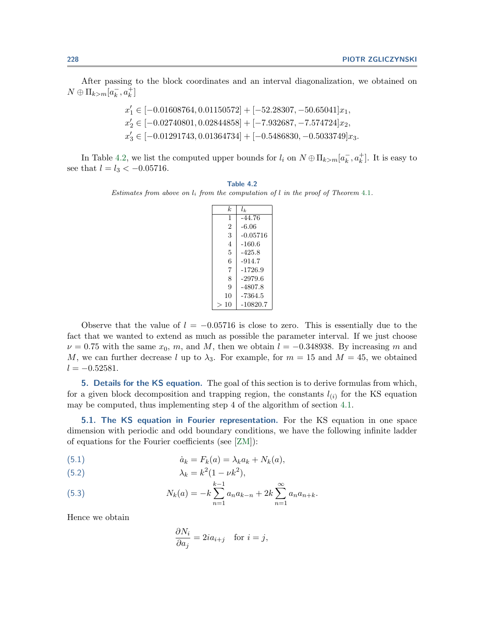<span id="page-13-0"></span>After passing to the block coordinates and an interval diagonalization, we obtained on  $N \oplus \Pi_{k>m}[a_k^-, a_k^+]$ 

$$
x'_1 \in [-0.01608764, 0.01150572] + [-52.28307, -50.65041]x_1,
$$
  
\n
$$
x'_2 \in [-0.02740801, 0.02844858] + [-7.932687, -7.574724]x_2,
$$
  
\n
$$
x'_3 \in [-0.01291743, 0.01364734] + [-0.5486830, -0.5033749]x_3.
$$

In Table 4.2, we list the computed upper bounds for  $l_i$  on  $N \oplus \Pi_{k>m} [a_k^-, a_k^+]$ . It is easy to see that  $l = l_3 < -0.05716$ .

**Table 4.2** Estimates from above on  $l_i$  from the computation of l in the proof of Theorem [4.1](#page-6-0).

| k. | $l_{k}$    |
|----|------------|
| 1  | -44.76     |
| 2  | -6.06      |
| 3  | $-0.05716$ |
| 4  | -160.6     |
| 5  | -425.8     |
| 6  | $-914.7$   |
| 7  | -1726.9    |
| 8  | -2979.6    |
| 9  | -4807.8    |
| 10 | -7364.5    |
| 10 | $-10820.7$ |

Observe that the value of  $l = -0.05716$  is close to zero. This is essentially due to the fact that we wanted to extend as much as possible the parameter interval. If we just choose  $\nu = 0.75$  with the same  $x_0$ , m, and M, then we obtain  $l = -0.348938$ . By increasing m and M, we can further decrease l up to  $\lambda_3$ . For example, for  $m = 15$  and  $M = 45$ , we obtained  $l = -0.52581.$ 

**5.Details for the KS equation.** The goal of this section is to derive formulas from which, for a given block decomposition and trapping region, the constants  $l_{(i)}$  for the KS equation may be computed, thus implementing step 4 of the algorithm of section [4.1.](#page-8-0)

**5.1. The KS equation in Fourier representation.** For the KS equation in one space dimension with periodic and odd boundary conditions, we have the following infinite ladder of equations for the Fourier coefficients (see [\[ZM\]](#page-20-0)):

(5.1) 
$$
\dot{a}_k = F_k(a) = \lambda_k a_k + N_k(a),
$$

$$
\lambda_k = k^2 (1 - \nu k^2),
$$

(5.3) 
$$
N_k(a) = -k \sum_{n=1}^{k-1} a_n a_{k-n} + 2k \sum_{n=1}^{\infty} a_n a_{n+k}.
$$

Hence we obtain

$$
\frac{\partial N_i}{\partial a_j} = 2ia_{i+j} \quad \text{for } i = j,
$$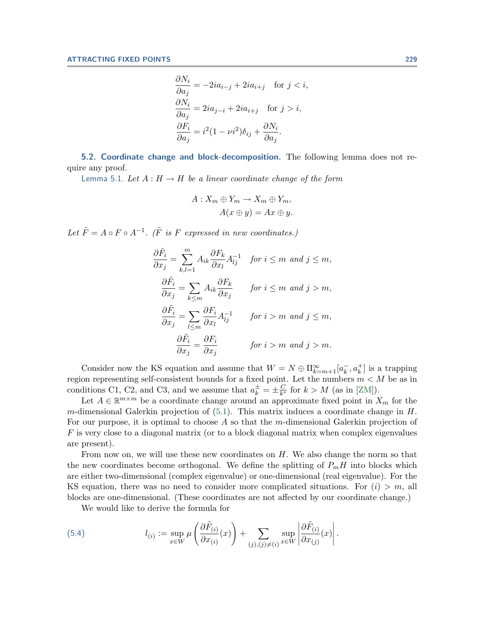$$
\frac{\partial N_i}{\partial a_j} = -2ia_{i-j} + 2ia_{i+j} \quad \text{for } j < i,
$$
\n
$$
\frac{\partial N_i}{\partial a_j} = 2ia_{j-i} + 2ia_{i+j} \quad \text{for } j > i,
$$
\n
$$
\frac{\partial F_i}{\partial a_j} = i^2(1 - \nu i^2)\delta_{ij} + \frac{\partial N_i}{\partial a_j}.
$$

<span id="page-14-0"></span>**5.2. Coordinate change and block-decomposition.** The following lemma does not require any proof.

Lemma 5.1. Let  $A: H \to H$  be a linear coordinate change of the form

$$
A: X_m \oplus Y_m \to X_m \oplus Y_m,
$$
  

$$
A(x \oplus y) = Ax \oplus y.
$$

Let  $\tilde{F} = A \circ F \circ A^{-1}$ . ( $\tilde{F}$  is F expressed in new coordinates.)

$$
\frac{\partial \tilde{F}_i}{\partial x_j} = \sum_{k,l=1}^m A_{ik} \frac{\partial F_k}{\partial x_l} A_{lj}^{-1} \quad \text{for } i \le m \text{ and } j \le m,
$$
\n
$$
\frac{\partial \tilde{F}_i}{\partial x_j} = \sum_{k \le m} A_{ik} \frac{\partial F_k}{\partial x_j} \qquad \text{for } i \le m \text{ and } j > m,
$$
\n
$$
\frac{\partial \tilde{F}_i}{\partial x_j} = \sum_{l \le m} \frac{\partial F_i}{\partial x_l} A_{lj}^{-1} \qquad \text{for } i > m \text{ and } j \le m,
$$
\n
$$
\frac{\partial \tilde{F}_i}{\partial x_j} = \frac{\partial F_i}{\partial x_j} \qquad \text{for } i > m \text{ and } j > m.
$$

Consider now the KS equation and assume that  $W = N \oplus \prod_{k=m+1}^{\infty} [a_k^-, a_k^+]$  is a trapping region representing self-consistent bounds for a fixed point. Let the numbers  $m < M$  be as in conditions C1, C2, and C3, and we assume that  $a_k^{\pm} = \pm \frac{C}{k^s}$  for  $k > M$  (as in [\[ZM\]](#page-20-0)).

Let  $A \in \mathbb{R}^{m \times m}$  be a coordinate change around an approximate fixed point in  $X_m$  for the m-dimensional Galerkin projection of  $(5.1)$ . This matrix induces a coordinate change in H. For our purpose, it is optimal to choose A so that the m-dimensional Galerkin projection of  $F$  is very close to a diagonal matrix (or to a block diagonal matrix when complex eigenvalues are present).

From now on, we will use these new coordinates on  $H$ . We also change the norm so that the new coordinates become orthogonal. We define the splitting of  $P_mH$  into blocks which are either two-dimensional (complex eigenvalue) or one-dimensional (real eigenvalue). For the KS equation, there was no need to consider more complicated situations. For  $(i) > m$ , all blocks are one-dimensional.(These coordinates are not affected by our coordinate change.)

We would like to derive the formula for

(5.4) 
$$
l_{(i)} := \sup_{x \in W} \mu \left( \frac{\partial \tilde{F}_{(i)}}{\partial x_{(i)}}(x) \right) + \sum_{(j),(j) \neq (i)} \sup_{x \in W} \left| \frac{\partial \tilde{F}_{(i)}}{\partial x_{(j)}}(x) \right|.
$$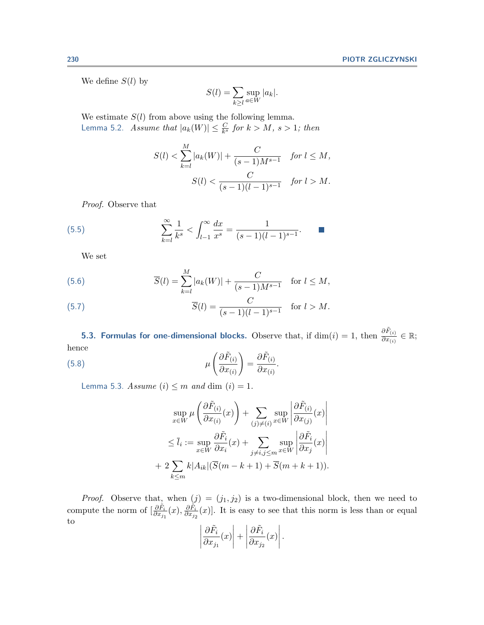<span id="page-15-0"></span>We define  $S(l)$  by

$$
S(l) = \sum_{k \ge l} \sup_{a \in W} |a_k|.
$$

We estimate  $S(l)$  from above using the following lemma. Lemma 5.2. Assume that  $|a_k(W)| \leq \frac{C}{k^s}$  for  $k > M$ ,  $s > 1$ ; then

$$
S(l) < \sum_{k=l}^{M} |a_k(W)| + \frac{C}{(s-1)M^{s-1}} \quad \text{for } l \le M,
$$
\n
$$
S(l) < \frac{C}{(s-1)(l-1)^{s-1}} \quad \text{for } l > M.
$$

Proof. Observe that

(5.5) 
$$
\sum_{k=l}^{\infty} \frac{1}{k^s} < \int_{l-1}^{\infty} \frac{dx}{x^s} = \frac{1}{(s-1)(l-1)^{s-1}}.
$$

We set

(5.6) 
$$
\overline{S}(l) = \sum_{k=l}^{M} |a_k(W)| + \frac{C}{(s-1)M^{s-1}} \text{ for } l \leq M,
$$

(5.7) 
$$
\overline{S}(l) = \frac{C}{(s-1)(l-1)^{s-1}} \text{ for } l > M.
$$

**5.3. Formulas for one-dimensional blocks.** Observe that, if  $dim(i) = 1$ , then  $\frac{\partial \tilde{F}_{(i)}}{\partial x_{(i)}} \in \mathbb{R}$ ; hence

(5.8) 
$$
\mu\left(\frac{\partial \tilde{F}_{(i)}}{\partial x_{(i)}}\right) = \frac{\partial \tilde{F}_{(i)}}{\partial x_{(i)}}.
$$

Lemma 5.3. Assume  $(i) \leq m$  and dim  $(i) = 1$ .

$$
\sup_{x \in W} \mu \left( \frac{\partial \tilde{F}_{(i)}}{\partial x_{(i)}}(x) \right) + \sum_{(j) \neq (i)} \sup_{x \in W} \left| \frac{\partial \tilde{F}_{(i)}}{\partial x_{(j)}}(x) \right|
$$
  

$$
\leq \bar{l}_i := \sup_{x \in W} \frac{\partial \tilde{F}_i}{\partial x_i}(x) + \sum_{j \neq i, j \leq m} \sup_{x \in W} \left| \frac{\partial \tilde{F}_i}{\partial x_j}(x) \right|
$$
  
+ 
$$
2 \sum_{k \leq m} k |A_{ik}| (\overline{S}(m - k + 1) + \overline{S}(m + k + 1)).
$$

*Proof.* Observe that, when  $(j) = (j_1, j_2)$  is a two-dimensional block, then we need to compute the norm of  $\left[\frac{\partial \tilde{F}_i}{\partial x_{j_1}}(x), \frac{\partial \tilde{F}_i}{\partial x_{j_2}}(x)\right]$ . It is easy to see that this norm is less than or equal to

$$
\left|\frac{\partial \tilde{F}_i}{\partial x_{j_1}}(x)\right| + \left|\frac{\partial \tilde{F}_i}{\partial x_{j_2}}(x)\right|.
$$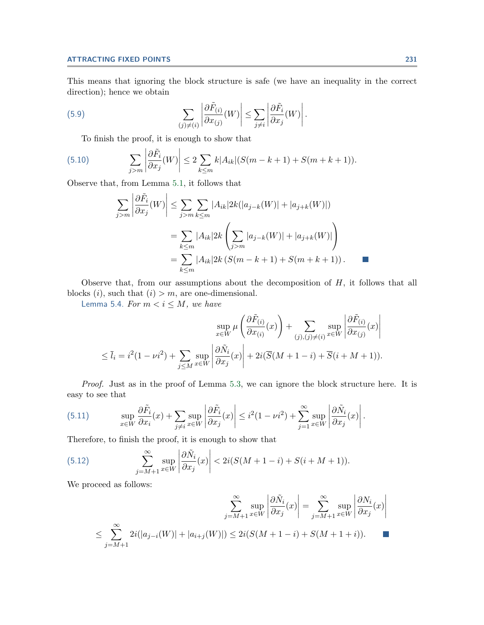## **ATTRACTING FIXED POINTS 231**

This means that ignoring the block structure is safe (we have an inequality in the correct direction); hence we obtain

(5.9) 
$$
\sum_{(j)\neq(i)} \left| \frac{\partial \tilde{F}_{(i)}}{\partial x_{(j)}}(W) \right| \leq \sum_{j\neq i} \left| \frac{\partial \tilde{F}_{i}}{\partial x_{j}}(W) \right|.
$$

To finish the proof, it is enough to show that

(5.10) 
$$
\sum_{j>m} \left| \frac{\partial \tilde{F}_i}{\partial x_j}(W) \right| \leq 2 \sum_{k \leq m} k |A_{ik}| (S(m-k+1) + S(m+k+1)).
$$

Observe that, from Lemma [5.1,](#page-14-0) it follows that

$$
\sum_{j>m} \left| \frac{\partial \tilde{F}_i}{\partial x_j}(W) \right| \leq \sum_{j>m} \sum_{k \leq m} |A_{ik}| 2k(|a_{j-k}(W)| + |a_{j+k}(W)|)
$$
  
= 
$$
\sum_{k \leq m} |A_{ik}| 2k \left( \sum_{j>m} |a_{j-k}(W)| + |a_{j+k}(W)| \right)
$$
  
= 
$$
\sum_{k \leq m} |A_{ik}| 2k (S(m - k + 1) + S(m + k + 1)).
$$

Observe that, from our assumptions about the decomposition of  $H$ , it follows that all blocks  $(i)$ , such that  $(i) > m$ , are one-dimensional.

Lemma 5.4. For  $m < i \leq M$ , we have

$$
\sup_{x \in W} \mu \left( \frac{\partial \tilde{F}_{(i)}}{\partial x_{(i)}}(x) \right) + \sum_{(j),(j)\neq(i)} \sup_{x \in W} \left| \frac{\partial \tilde{F}_{(i)}}{\partial x_{(j)}}(x) \right|
$$
  

$$
\leq \bar{l}_i = i^2 (1 - \nu i^2) + \sum_{j \leq M} \sup_{x \in W} \left| \frac{\partial \tilde{N}_i}{\partial x_j}(x) \right| + 2i(\overline{S}(M + 1 - i) + \overline{S}(i + M + 1)).
$$

Proof. Just as in the proof of Lemma [5.3,](#page-15-0) we can ignore the block structure here. It is easy to see that

(5.11) 
$$
\sup_{x \in W} \frac{\partial \tilde{F}_i}{\partial x_i}(x) + \sum_{j \neq i} \sup_{x \in W} \left| \frac{\partial \tilde{F}_i}{\partial x_j}(x) \right| \leq i^2 (1 - \nu i^2) + \sum_{j=1}^{\infty} \sup_{x \in W} \left| \frac{\partial \tilde{N}_i}{\partial x_j}(x) \right|.
$$

Therefore, to finish the proof, it is enough to show that

(5.12) 
$$
\sum_{j=M+1}^{\infty} \sup_{x \in W} \left| \frac{\partial \tilde{N}_i}{\partial x_j}(x) \right| < 2i(S(M+1-i) + S(i+M+1)).
$$

We proceed as follows:

$$
\sum_{j=M+1}^{\infty} \sup_{x \in W} \left| \frac{\partial \tilde{N}_i}{\partial x_j}(x) \right| = \sum_{j=M+1}^{\infty} \sup_{x \in W} \left| \frac{\partial N_i}{\partial x_j}(x) \right|
$$
  

$$
\leq \sum_{j=M+1}^{\infty} 2i(|a_{j-i}(W)| + |a_{i+j}(W)|) \leq 2i(S(M+1-i) + S(M+1+i)).
$$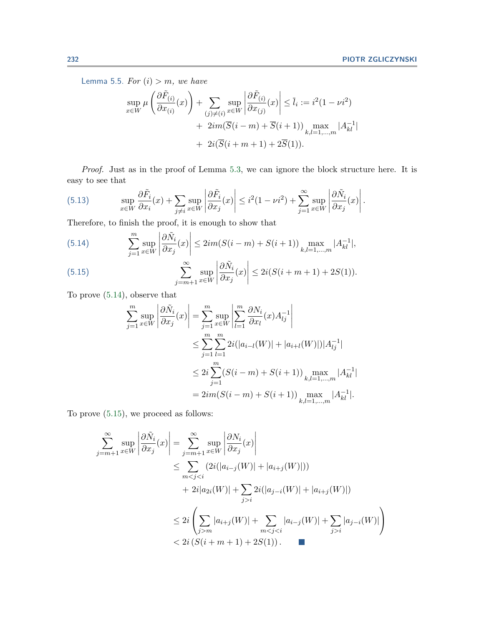<span id="page-17-0"></span>Lemma 5.5. For  $(i) > m$ , we have

$$
\sup_{x \in W} \mu \left( \frac{\partial \tilde{F}_{(i)}}{\partial x_{(i)}}(x) \right) + \sum_{(j) \neq (i)} \sup_{x \in W} \left| \frac{\partial \tilde{F}_{(i)}}{\partial x_{(j)}}(x) \right| \leq \bar{l}_i := i^2 (1 - \nu i^2) + 2im(\overline{S}(i - m) + \overline{S}(i + 1)) \max_{k, l = 1, ..., m} |A_{kl}^{-1}| + 2i(\overline{S}(i + m + 1) + 2\overline{S}(1)).
$$

Proof. Just as in the proof of Lemma [5.3,](#page-15-0) we can ignore the block structure here. It is easy to see that

(5.13) 
$$
\sup_{x \in W} \frac{\partial \tilde{F}_i}{\partial x_i}(x) + \sum_{j \neq i} \sup_{x \in W} \left| \frac{\partial \tilde{F}_i}{\partial x_j}(x) \right| \leq i^2 (1 - \nu i^2) + \sum_{j=1}^{\infty} \sup_{x \in W} \left| \frac{\partial \tilde{N}_i}{\partial x_j}(x) \right|.
$$

Therefore, to finish the proof, it is enough to show that

(5.14) 
$$
\sum_{j=1}^{m} \sup_{x \in W} \left| \frac{\partial \tilde{N}_i}{\partial x_j}(x) \right| \leq 2im(S(i-m) + S(i+1)) \max_{k,l=1,\dots,m} |A_{kl}^{-1}|,
$$

(5.15) 
$$
\sum_{j=m+1}^{\infty} \sup_{x \in W} \left| \frac{\partial \tilde{N}_i}{\partial x_j}(x) \right| \le 2i(S(i+m+1)+2S(1)).
$$

To prove (5.14), observe that

$$
\sum_{j=1}^{m} \sup_{x \in W} \left| \frac{\partial \tilde{N}_i}{\partial x_j}(x) \right| = \sum_{j=1}^{m} \sup_{x \in W} \left| \sum_{l=1}^{m} \frac{\partial N_i}{\partial x_l}(x) A_{lj}^{-1} \right|
$$
  
\n
$$
\leq \sum_{j=1}^{m} \sum_{l=1}^{m} 2i(|a_{i-l}(W)| + |a_{i+l}(W)|)|A_{lj}^{-1}|
$$
  
\n
$$
\leq 2i \sum_{j=1}^{m} (S(i-m) + S(i+1)) \max_{k,l=1,\dots,m} |A_{kl}^{-1}|
$$
  
\n
$$
= 2im(S(i-m) + S(i+1)) \max_{k,l=1,\dots,m} |A_{kl}^{-1}|.
$$

To prove (5.15), we proceed as follows:

$$
\sum_{j=m+1}^{\infty} \sup_{x \in W} \left| \frac{\partial \tilde{N}_i}{\partial x_j}(x) \right| = \sum_{j=m+1}^{\infty} \sup_{x \in W} \left| \frac{\partial N_i}{\partial x_j}(x) \right|
$$
  
\n
$$
\leq \sum_{m < j < i} (2i(|a_{i-j}(W)| + |a_{i+j}(W)|))
$$
  
\n
$$
+ 2i|a_{2i}(W)| + \sum_{j > i} 2i(|a_{j-i}(W)| + |a_{i+j}(W)|)
$$
  
\n
$$
\leq 2i \left( \sum_{j > m} |a_{i+j}(W)| + \sum_{m < j < i} |a_{i-j}(W)| + \sum_{j > i} |a_{j-i}(W)| \right)
$$
  
\n
$$
< 2i (S(i+m+1) + 2S(1)).
$$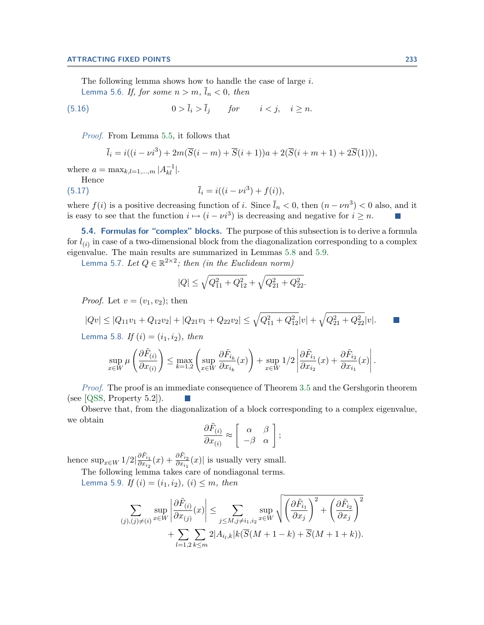<span id="page-18-0"></span>The following lemma shows how to handle the case of large i. Lemma 5.6. If, for some  $n>m$ ,  $\overline{l}_n < 0$ , then

$$
(5.16) \t\t 0 > \bar{l}_i > \bar{l}_j \t \text{for} \t i < j, \t i \ge n.
$$

Proof. From Lemma [5.5,](#page-17-0) it follows that

$$
\bar{l}_i = i((i - \nu i^3) + 2m(\bar{S}(i - m) + \bar{S}(i + 1))a + 2(\bar{S}(i + m + 1) + 2\bar{S}(1))),
$$

where  $a = \max_{k,l=1,...,m} |A_{kl}^{-1}|$ .

Hence (5.17)  $\overline{l}_i = i((i - \nu i^3) + f(i)),$ 

where  $f(i)$  is a positive decreasing function of i. Since  $\bar{l}_n < 0$ , then  $(n - \nu n^3) < 0$  also, and it is easy to see that the function  $i \mapsto (i - \nu i^3)$  is decreasing and negative for  $i \geq n$ .

**5.4. Formulas for "complex" blocks.** The purpose of this subsection is to derive a formula for  $l_{(i)}$  in case of a two-dimensional block from the diagonalization corresponding to a complex eigenvalue. The main results are summarized in Lemmas  $5.8$  and  $5.9$ .

Lemma 5.7. Let  $Q \in \mathbb{R}^{2 \times 2}$ ; then (in the Euclidean norm)

$$
|Q| \le \sqrt{Q_{11}^2 + Q_{12}^2} + \sqrt{Q_{21}^2 + Q_{22}^2}.
$$

*Proof.* Let  $v = (v_1, v_2)$ ; then

$$
|Qv| \le |Q_{11}v_1 + Q_{12}v_2| + |Q_{21}v_1 + Q_{22}v_2| \le \sqrt{Q_{11}^2 + Q_{12}^2}|v| + \sqrt{Q_{21}^2 + Q_{22}^2}|v|.
$$

Lemma 5.8. If  $(i)=(i_1, i_2)$ , then

$$
\sup_{x \in W} \mu\left(\frac{\partial \tilde{F}_{(i)}}{\partial x_{(i)}}\right) \le \max_{k=1,2} \left( \sup_{x \in W} \frac{\partial \tilde{F}_{i_k}}{\partial x_{i_k}}(x) \right) + \sup_{x \in W} 1/2 \left| \frac{\partial \tilde{F}_{i_1}}{\partial x_{i_2}}(x) + \frac{\partial \tilde{F}_{i_2}}{\partial x_{i_1}}(x) \right|.
$$

Proof. The proof is an immediate consequence of Theorem [3.5](#page-4-0) and the Gershgorin theorem (see [\[QSS,](#page-20-0) Property 5.2]).  $\sim$ 

Observe that, from the diagonalization of a block corresponding to a complex eigenvalue, we obtain

$$
\frac{\partial \tilde{F}_{(i)}}{\partial x_{(i)}} \approx \left[ \begin{array}{cc} \alpha & \beta \\ -\beta & \alpha \end{array} \right];
$$

hence  $\sup_{x \in W} 1/2 |\frac{\partial \tilde{F}_{i_1}}{\partial x_{i_2}}$  $\frac{\partial \tilde{F}_{i_1}}{\partial x_{i_2}}(x) + \frac{\partial \tilde{F}_{i_2}}{\partial x_{i_1}}(x)$  is usually very small. The following lemma takes care of nondiagonal terms.

Lemma 5.9. If  $(i)=(i_1, i_2), (i) \leq m$ , then

$$
\sum_{(j),(j)\neq(i)} \sup_{x\in W} \left| \frac{\partial \tilde{F}_{(i)}}{\partial x_{(j)}}(x) \right| \leq \sum_{j\leq M, j\neq i_1, i_2} \sup_{x\in W} \sqrt{\left( \frac{\partial \tilde{F}_{i_1}}{\partial x_j} \right)^2 + \left( \frac{\partial \tilde{F}_{i_2}}{\partial x_j} \right)^2} + \sum_{l=1,2} \sum_{k\leq m} 2|A_{i_l,k}|k(\overline{S}(M+1-k) + \overline{S}(M+1+k)).
$$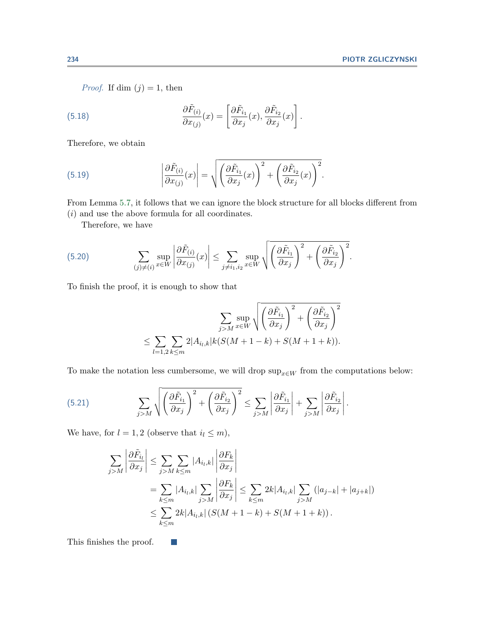*Proof.* If dim  $(j) = 1$ , then

(5.18) 
$$
\frac{\partial \tilde{F}_{(i)}}{\partial x_{(j)}}(x) = \left[\frac{\partial \tilde{F}_{i_1}}{\partial x_j}(x), \frac{\partial \tilde{F}_{i_2}}{\partial x_j}(x)\right].
$$

Therefore, we obtain

(5.19) 
$$
\left| \frac{\partial \tilde{F}_{(i)}}{\partial x_{(j)}}(x) \right| = \sqrt{\left( \frac{\partial \tilde{F}_{i_1}}{\partial x_j}(x) \right)^2 + \left( \frac{\partial \tilde{F}_{i_2}}{\partial x_j}(x) \right)^2}.
$$

From Lemma [5.7,](#page-18-0) it follows that we can ignore the block structure for all blocks different from (i) and use the above formula for all coordinates.

Therefore, we have

(5.20) 
$$
\sum_{(j)\neq(i)} \sup_{x\in W} \left| \frac{\partial \tilde{F}_{(i)}}{\partial x_{(j)}}(x) \right| \leq \sum_{j\neq i_1,i_2} \sup_{x\in W} \sqrt{\left( \frac{\partial \tilde{F}_{i_1}}{\partial x_j} \right)^2 + \left( \frac{\partial \tilde{F}_{i_2}}{\partial x_j} \right)^2}.
$$

To finish the proof, it is enough to show that

$$
\sum_{j>M} \sup_{x \in W} \sqrt{\left(\frac{\partial \tilde{F}_{i_1}}{\partial x_j}\right)^2 + \left(\frac{\partial \tilde{F}_{i_2}}{\partial x_j}\right)^2}
$$

$$
\leq \sum_{l=1,2} \sum_{k \leq m} 2|A_{i_l,k}|k(S(M+1-k) + S(M+1+k)).
$$

To make the notation less cumbersome, we will drop  $\sup_{x\in W}$  from the computations below:

(5.21) 
$$
\sum_{j>M} \sqrt{\left(\frac{\partial \tilde{F}_{i_1}}{\partial x_j}\right)^2 + \left(\frac{\partial \tilde{F}_{i_2}}{\partial x_j}\right)^2} \leq \sum_{j>M} \left|\frac{\partial \tilde{F}_{i_1}}{\partial x_j}\right| + \sum_{j>M} \left|\frac{\partial \tilde{F}_{i_2}}{\partial x_j}\right|.
$$

We have, for  $l = 1, 2$  (observe that  $i_l \leq m$ ),

 $\vert \cdot \vert$ 

$$
\sum_{j>M} \left| \frac{\partial \tilde{F}_{i_l}}{\partial x_j} \right| \leq \sum_{j>M} \sum_{k \leq m} |A_{i_l,k}| \left| \frac{\partial F_k}{\partial x_j} \right|
$$
  
= 
$$
\sum_{k \leq m} |A_{i_l,k}| \sum_{j>M} \left| \frac{\partial F_k}{\partial x_j} \right| \leq \sum_{k \leq m} 2k |A_{i_l,k}| \sum_{j>M} (|a_{j-k}| + |a_{j+k}|)
$$
  

$$
\leq \sum_{k \leq m} 2k |A_{i_l,k}| (S(M+1-k) + S(M+1+k)).
$$

This finishes the proof.